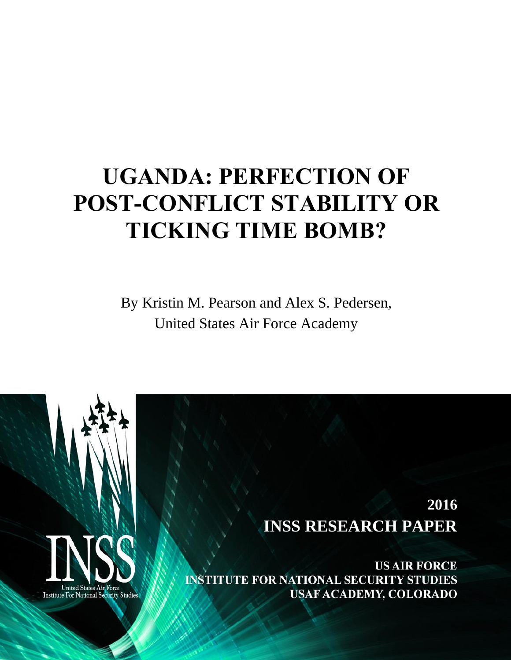# **UGANDA: PERFECTION OF POST-CONFLICT STABILITY OR TICKING TIME BOMB?**

By Kristin M. Pearson and Alex S. Pedersen, United States Air Force Academy

1



Institute For National Security Studies

**INSS RESEARCH PAPER 2016**

**US AIR FORCE INSTITUTE FOR NATIONAL SECURITY STUDIES** USAF ACADEMY, COLORADO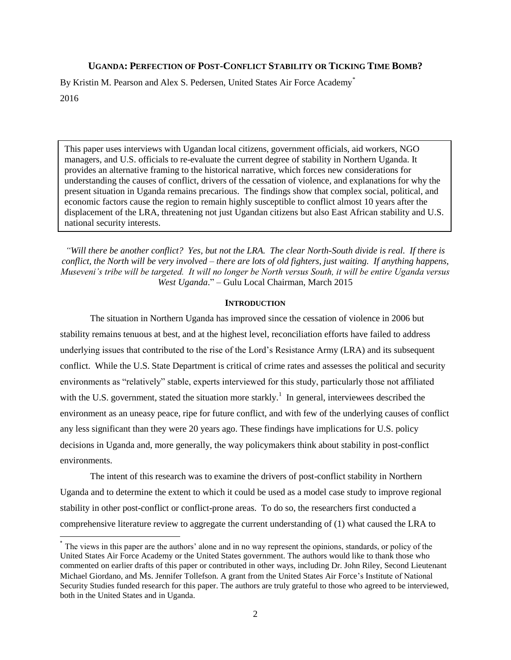## **UGANDA: PERFECTION OF POST-CONFLICT STABILITY OR TICKING TIME BOMB?**

By Kristin M. Pearson and Alex S. Pedersen, United States Air Force Academy\* 2016

This paper uses interviews with Ugandan local citizens, government officials, aid workers, NGO managers, and U.S. officials to re-evaluate the current degree of stability in Northern Uganda. It provides an alternative framing to the historical narrative, which forces new considerations for understanding the causes of conflict, drivers of the cessation of violence, and explanations for why the present situation in Uganda remains precarious. The findings show that complex social, political, and economic factors cause the region to remain highly susceptible to conflict almost 10 years after the displacement of the LRA, threatening not just Ugandan citizens but also East African stability and U.S. national security interests.

*"Will there be another conflict? Yes, but not the LRA. The clear North-South divide is real. If there is conflict, the North will be very involved – there are lots of old fighters, just waiting. If anything happens, Museveni's tribe will be targeted. It will no longer be North versus South, it will be entire Uganda versus West Uganda*." – Gulu Local Chairman, March 2015

#### **INTRODUCTION**

The situation in Northern Uganda has improved since the cessation of violence in 2006 but stability remains tenuous at best, and at the highest level, reconciliation efforts have failed to address underlying issues that contributed to the rise of the Lord's Resistance Army (LRA) and its subsequent conflict. While the U.S. State Department is critical of crime rates and assesses the political and security environments as "relatively" stable, experts interviewed for this study, particularly those not affiliated with the U.S. government, stated the situation more starkly.<sup>1</sup> In general, interviewees described the environment as an uneasy peace, ripe for future conflict, and with few of the underlying causes of conflict any less significant than they were 20 years ago. These findings have implications for U.S. policy decisions in Uganda and, more generally, the way policymakers think about stability in post-conflict environments.

The intent of this research was to examine the drivers of post-conflict stability in Northern Uganda and to determine the extent to which it could be used as a model case study to improve regional stability in other post-conflict or conflict-prone areas. To do so, the researchers first conducted a comprehensive literature review to aggregate the current understanding of (1) what caused the LRA to

 $\overline{a}$ 

<sup>\*</sup> The views in this paper are the authors' alone and in no way represent the opinions, standards, or policy of the United States Air Force Academy or the United States government. The authors would like to thank those who commented on earlier drafts of this paper or contributed in other ways, including Dr. John Riley, Second Lieutenant Michael Giordano, and Ms. Jennifer Tollefson. A grant from the United States Air Force's Institute of National Security Studies funded research for this paper. The authors are truly grateful to those who agreed to be interviewed, both in the United States and in Uganda.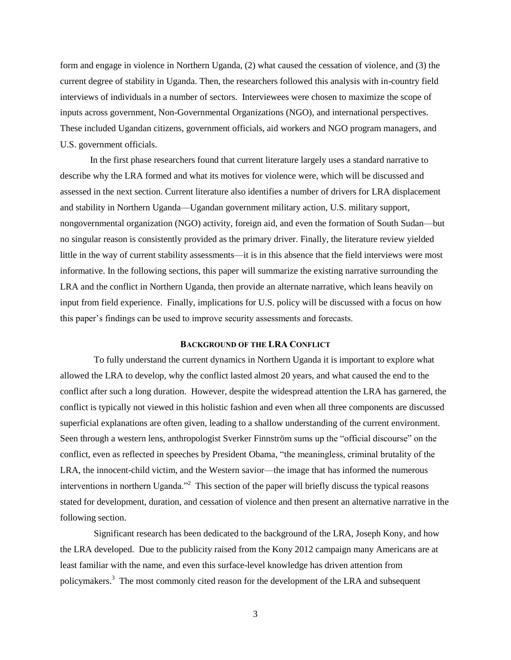form and engage in violence in Northern Uganda, (2) what caused the cessation of violence, and (3) the current degree of stability in Uganda. Then, the researchers followed this analysis with in-country field interviews of individuals in a number of sectors. Interviewees were chosen to maximize the scope of inputs across government, Non-Governmental Organizations (NGO), and international perspectives. These included Ugandan citizens, government officials, aid workers and NGO program managers, and U.S. government officials.

In the first phase researchers found that current literature largely uses a standard narrative to describe why the LRA formed and what its motives for violence were, which will be discussed and assessed in the next section. Current literature also identifies a number of drivers for LRA displacement and stability in Northern Uganda—Ugandan government military action, U.S. military support, nongovernmental organization (NGO) activity, foreign aid, and even the formation of South Sudan—but no singular reason is consistently provided as the primary driver. Finally, the literature review yielded little in the way of current stability assessments—it is in this absence that the field interviews were most informative. In the following sections, this paper will summarize the existing narrative surrounding the LRA and the conflict in Northern Uganda, then provide an alternate narrative, which leans heavily on input from field experience. Finally, implications for U.S. policy will be discussed with a focus on how this paper's findings can be used to improve security assessments and forecasts.

## **BACKGROUND OF THE LRA CONFLICT**

To fully understand the current dynamics in Northern Uganda it is important to explore what allowed the LRA to develop, why the conflict lasted almost 20 years, and what caused the end to the conflict after such a long duration. However, despite the widespread attention the LRA has garnered, the conflict is typically not viewed in this holistic fashion and even when all three components are discussed superficial explanations are often given, leading to a shallow understanding of the current environment. Seen through a western lens, anthropologist Sverker Finnström sums up the "official discourse" on the conflict, even as reflected in speeches by President Obama, "the meaningless, criminal brutality of the LRA, the innocent-child victim, and the Western savior—the image that has informed the numerous interventions in northern Uganda."<sup>2</sup> This section of the paper will briefly discuss the typical reasons stated for development, duration, and cessation of violence and then present an alternative narrative in the following section.

Significant research has been dedicated to the background of the LRA, Joseph Kony, and how the LRA developed. Due to the publicity raised from the Kony 2012 campaign many Americans are at least familiar with the name, and even this surface-level knowledge has driven attention from policymakers.<sup>3</sup> The most commonly cited reason for the development of the LRA and subsequent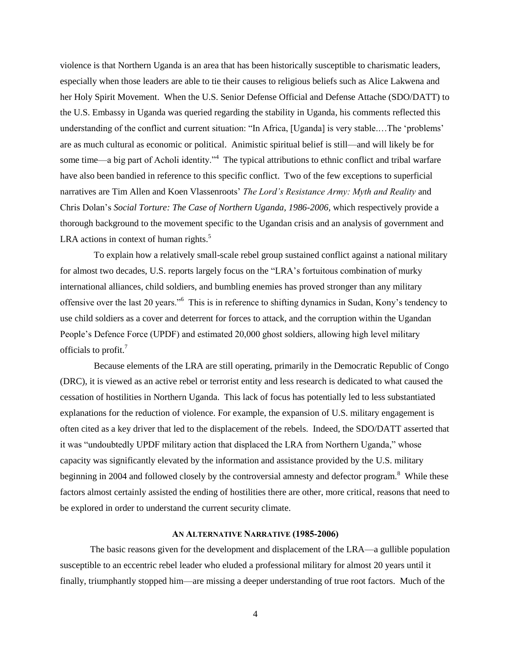violence is that Northern Uganda is an area that has been historically susceptible to charismatic leaders, especially when those leaders are able to tie their causes to religious beliefs such as Alice Lakwena and her Holy Spirit Movement. When the U.S. Senior Defense Official and Defense Attache (SDO/DATT) to the U.S. Embassy in Uganda was queried regarding the stability in Uganda, his comments reflected this understanding of the conflict and current situation: "In Africa, [Uganda] is very stable.…The 'problems' are as much cultural as economic or political. Animistic spiritual belief is still—and will likely be for some time—a big part of Acholi identity."<sup>4</sup> The typical attributions to ethnic conflict and tribal warfare have also been bandied in reference to this specific conflict. Two of the few exceptions to superficial narratives are Tim Allen and Koen Vlassenroots' *The Lord's Resistance Army: Myth and Reality* and Chris Dolan's *Social Torture: The Case of Northern Uganda, 1986-2006,* which respectively provide a thorough background to the movement specific to the Ugandan crisis and an analysis of government and LRA actions in context of human rights. $5$ 

To explain how a relatively small-scale rebel group sustained conflict against a national military for almost two decades, U.S. reports largely focus on the "LRA's fortuitous combination of murky international alliances, child soldiers, and bumbling enemies has proved stronger than any military offensive over the last 20 years."<sup>6</sup> This is in reference to shifting dynamics in Sudan, Kony's tendency to use child soldiers as a cover and deterrent for forces to attack, and the corruption within the Ugandan People's Defence Force (UPDF) and estimated 20,000 ghost soldiers, allowing high level military officials to profit.<sup>7</sup>

Because elements of the LRA are still operating, primarily in the Democratic Republic of Congo (DRC), it is viewed as an active rebel or terrorist entity and less research is dedicated to what caused the cessation of hostilities in Northern Uganda. This lack of focus has potentially led to less substantiated explanations for the reduction of violence. For example, the expansion of U.S. military engagement is often cited as a key driver that led to the displacement of the rebels. Indeed, the SDO/DATT asserted that it was "undoubtedly UPDF military action that displaced the LRA from Northern Uganda," whose capacity was significantly elevated by the information and assistance provided by the U.S. military beginning in 2004 and followed closely by the controversial amnesty and defector program.<sup>8</sup> While these factors almost certainly assisted the ending of hostilities there are other, more critical, reasons that need to be explored in order to understand the current security climate.

### **AN ALTERNATIVE NARRATIVE (1985-2006)**

The basic reasons given for the development and displacement of the LRA—a gullible population susceptible to an eccentric rebel leader who eluded a professional military for almost 20 years until it finally, triumphantly stopped him—are missing a deeper understanding of true root factors. Much of the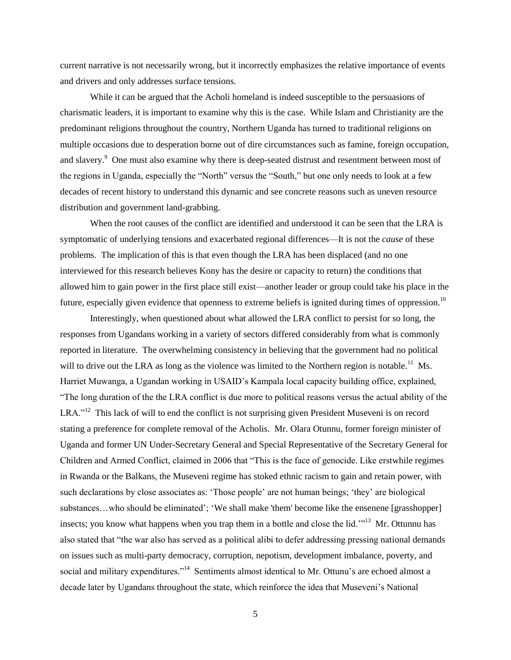current narrative is not necessarily wrong, but it incorrectly emphasizes the relative importance of events and drivers and only addresses surface tensions.

While it can be argued that the Acholi homeland is indeed susceptible to the persuasions of charismatic leaders, it is important to examine why this is the case. While Islam and Christianity are the predominant religions throughout the country, Northern Uganda has turned to traditional religions on multiple occasions due to desperation borne out of dire circumstances such as famine, foreign occupation, and slavery.<sup>9</sup> One must also examine why there is deep-seated distrust and resentment between most of the regions in Uganda, especially the "North" versus the "South," but one only needs to look at a few decades of recent history to understand this dynamic and see concrete reasons such as uneven resource distribution and government land-grabbing.

When the root causes of the conflict are identified and understood it can be seen that the LRA is symptomatic of underlying tensions and exacerbated regional differences—It is not the *cause* of these problems. The implication of this is that even though the LRA has been displaced (and no one interviewed for this research believes Kony has the desire or capacity to return) the conditions that allowed him to gain power in the first place still exist—another leader or group could take his place in the future, especially given evidence that openness to extreme beliefs is ignited during times of oppression.<sup>10</sup>

Interestingly, when questioned about what allowed the LRA conflict to persist for so long, the responses from Ugandans working in a variety of sectors differed considerably from what is commonly reported in literature. The overwhelming consistency in believing that the government had no political will to drive out the LRA as long as the violence was limited to the Northern region is notable.<sup>11</sup> Ms. Harriet Muwanga, a Ugandan working in USAID's Kampala local capacity building office, explained, "The long duration of the the LRA conflict is due more to political reasons versus the actual ability of the LRA."<sup>12</sup> This lack of will to end the conflict is not surprising given President Museveni is on record stating a preference for complete removal of the Acholis. Mr. Olara Otunnu, former foreign minister of Uganda and former UN Under-Secretary General and Special Representative of the Secretary General for Children and Armed Conflict, claimed in 2006 that "This is the face of genocide. Like erstwhile regimes in Rwanda or the Balkans, the Museveni regime has stoked ethnic racism to gain and retain power, with such declarations by close associates as: 'Those people' are not human beings; 'they' are biological substances...who should be eliminated'; 'We shall make 'them' become like the ensenene [grasshopper] insects; you know what happens when you trap them in a bottle and close the lid.<sup>'"13</sup> Mr. Ottunnu has also stated that "the war also has served as a political alibi to defer addressing pressing national demands on issues such as multi-party democracy, corruption, nepotism, development imbalance, poverty, and social and military expenditures."<sup>14</sup> Sentiments almost identical to Mr. Ottunu's are echoed almost a decade later by Ugandans throughout the state, which reinforce the idea that Museveni's National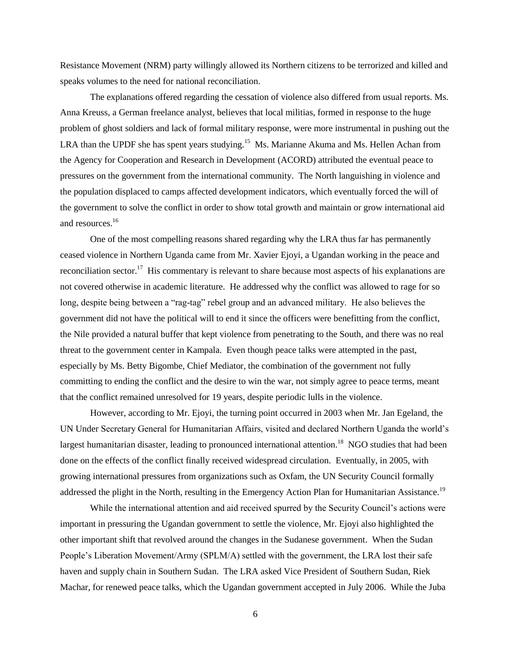Resistance Movement (NRM) party willingly allowed its Northern citizens to be terrorized and killed and speaks volumes to the need for national reconciliation.

The explanations offered regarding the cessation of violence also differed from usual reports. Ms. Anna Kreuss, a German freelance analyst, believes that local militias, formed in response to the huge problem of ghost soldiers and lack of formal military response, were more instrumental in pushing out the LRA than the UPDF she has spent years studying.<sup>15</sup> Ms. Marianne Akuma and Ms. Hellen Achan from the Agency for Cooperation and Research in Development (ACORD) attributed the eventual peace to pressures on the government from the international community. The North languishing in violence and the population displaced to camps affected development indicators, which eventually forced the will of the government to solve the conflict in order to show total growth and maintain or grow international aid and resources.<sup>16</sup>

One of the most compelling reasons shared regarding why the LRA thus far has permanently ceased violence in Northern Uganda came from Mr. Xavier Ejoyi, a Ugandan working in the peace and reconciliation sector.<sup>17</sup> His commentary is relevant to share because most aspects of his explanations are not covered otherwise in academic literature. He addressed why the conflict was allowed to rage for so long, despite being between a "rag-tag" rebel group and an advanced military. He also believes the government did not have the political will to end it since the officers were benefitting from the conflict, the Nile provided a natural buffer that kept violence from penetrating to the South, and there was no real threat to the government center in Kampala. Even though peace talks were attempted in the past, especially by Ms. Betty Bigombe, Chief Mediator, the combination of the government not fully committing to ending the conflict and the desire to win the war, not simply agree to peace terms, meant that the conflict remained unresolved for 19 years, despite periodic lulls in the violence.

However, according to Mr. Ejoyi, the turning point occurred in 2003 when Mr. Jan Egeland, the UN Under Secretary General for Humanitarian Affairs, visited and declared Northern Uganda the world's largest humanitarian disaster, leading to pronounced international attention.<sup>18</sup> NGO studies that had been done on the effects of the conflict finally received widespread circulation. Eventually, in 2005, with growing international pressures from organizations such as Oxfam, the UN Security Council formally addressed the plight in the North, resulting in the Emergency Action Plan for Humanitarian Assistance.<sup>19</sup>

While the international attention and aid received spurred by the Security Council's actions were important in pressuring the Ugandan government to settle the violence, Mr. Ejoyi also highlighted the other important shift that revolved around the changes in the Sudanese government. When the Sudan People's Liberation Movement/Army (SPLM/A) settled with the government, the LRA lost their safe haven and supply chain in Southern Sudan. The LRA asked Vice President of Southern Sudan, Riek Machar, for renewed peace talks, which the Ugandan government accepted in July 2006. While the Juba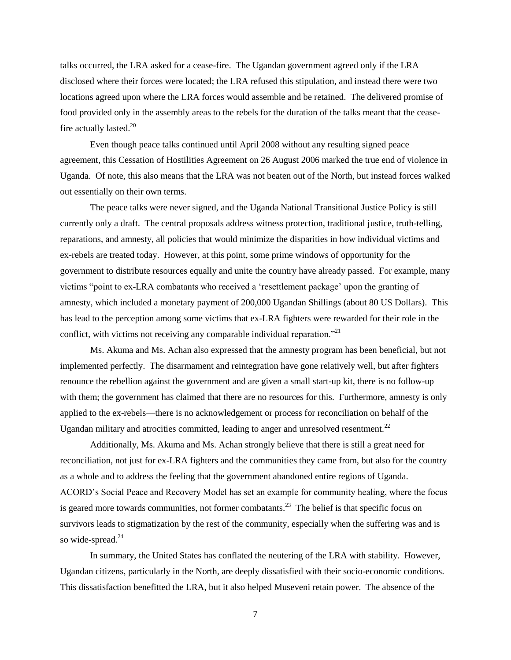talks occurred, the LRA asked for a cease-fire. The Ugandan government agreed only if the LRA disclosed where their forces were located; the LRA refused this stipulation, and instead there were two locations agreed upon where the LRA forces would assemble and be retained. The delivered promise of food provided only in the assembly areas to the rebels for the duration of the talks meant that the ceasefire actually lasted. $20$ 

Even though peace talks continued until April 2008 without any resulting signed peace agreement, this Cessation of Hostilities Agreement on 26 August 2006 marked the true end of violence in Uganda. Of note, this also means that the LRA was not beaten out of the North, but instead forces walked out essentially on their own terms.

The peace talks were never signed, and the Uganda National Transitional Justice Policy is still currently only a draft. The central proposals address witness protection, traditional justice, truth-telling, reparations, and amnesty, all policies that would minimize the disparities in how individual victims and ex-rebels are treated today. However, at this point, some prime windows of opportunity for the government to distribute resources equally and unite the country have already passed. For example, many victims "point to ex-LRA combatants who received a 'resettlement package' upon the granting of amnesty, which included a monetary payment of 200,000 Ugandan Shillings (about 80 US Dollars). This has lead to the [perception](http://www.refugeelawproject.org/working_papers/RLP.WP15.pdf) among some victims that ex-LRA fighters were rewarded for their role in the conflict, with victims not receiving any comparable individual reparation."<sup>21</sup>

Ms. Akuma and Ms. Achan also expressed that the amnesty program has been beneficial, but not implemented perfectly. The disarmament and reintegration have gone relatively well, but after fighters renounce the rebellion against the government and are given a small start-up kit, there is no follow-up with them; the government has claimed that there are no resources for this. Furthermore, amnesty is only applied to the ex-rebels—there is no acknowledgement or process for reconciliation on behalf of the Ugandan military and atrocities committed, leading to anger and unresolved resentment. $^{22}$ 

Additionally, Ms. Akuma and Ms. Achan strongly believe that there is still a great need for reconciliation, not just for ex-LRA fighters and the communities they came from, but also for the country as a whole and to address the feeling that the government abandoned entire regions of Uganda. ACORD's Social Peace and Recovery Model has set an example for community healing, where the focus is geared more towards communities, not former combatants.<sup>23</sup> The belief is that specific focus on survivors leads to stigmatization by the rest of the community, especially when the suffering was and is so wide-spread.<sup>24</sup>

In summary, the United States has conflated the neutering of the LRA with stability. However, Ugandan citizens, particularly in the North, are deeply dissatisfied with their socio-economic conditions. This dissatisfaction benefitted the LRA, but it also helped Museveni retain power. The absence of the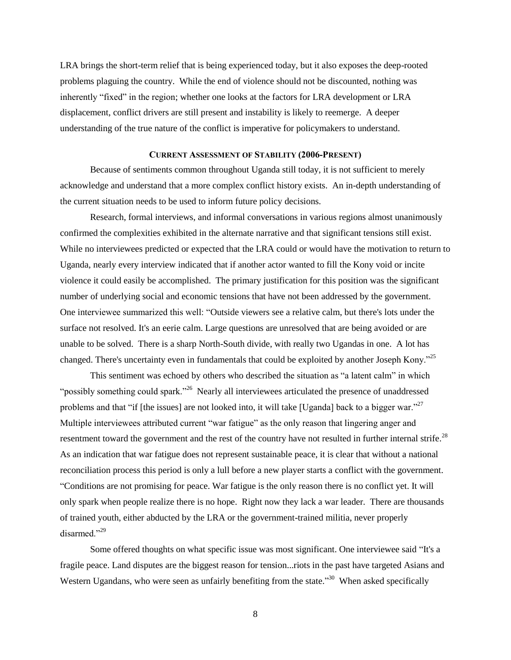LRA brings the short-term relief that is being experienced today, but it also exposes the deep-rooted problems plaguing the country. While the end of violence should not be discounted, nothing was inherently "fixed" in the region; whether one looks at the factors for LRA development or LRA displacement, conflict drivers are still present and instability is likely to reemerge. A deeper understanding of the true nature of the conflict is imperative for policymakers to understand.

### **CURRENT ASSESSMENT OF STABILITY (2006-PRESENT)**

Because of sentiments common throughout Uganda still today, it is not sufficient to merely acknowledge and understand that a more complex conflict history exists. An in-depth understanding of the current situation needs to be used to inform future policy decisions.

Research, formal interviews, and informal conversations in various regions almost unanimously confirmed the complexities exhibited in the alternate narrative and that significant tensions still exist. While no interviewees predicted or expected that the LRA could or would have the motivation to return to Uganda, nearly every interview indicated that if another actor wanted to fill the Kony void or incite violence it could easily be accomplished. The primary justification for this position was the significant number of underlying social and economic tensions that have not been addressed by the government. One interviewee summarized this well: "Outside viewers see a relative calm, but there's lots under the surface not resolved. It's an eerie calm. Large questions are unresolved that are being avoided or are unable to be solved. There is a sharp North-South divide, with really two Ugandas in one. A lot has changed. There's uncertainty even in fundamentals that could be exploited by another Joseph Kony."<sup>25</sup>

This sentiment was echoed by others who described the situation as "a latent calm" in which "possibly something could spark."<sup>26</sup> Nearly all interviewees articulated the presence of unaddressed problems and that "if [the issues] are not looked into, it will take [Uganda] back to a bigger war." $^{27}$ Multiple interviewees attributed current "war fatigue" as the only reason that lingering anger and resentment toward the government and the rest of the country have not resulted in further internal strife.<sup>28</sup> As an indication that war fatigue does not represent sustainable peace, it is clear that without a national reconciliation process this period is only a lull before a new player starts a conflict with the government. "Conditions are not promising for peace. War fatigue is the only reason there is no conflict yet. It will only spark when people realize there is no hope. Right now they lack a war leader. There are thousands of trained youth, either abducted by the LRA or the government-trained militia, never properly disarmed."<sup>29</sup>

Some offered thoughts on what specific issue was most significant. One interviewee said "It's a fragile peace. Land disputes are the biggest reason for tension...riots in the past have targeted Asians and Western Ugandans, who were seen as unfairly benefiting from the state."<sup>30</sup> When asked specifically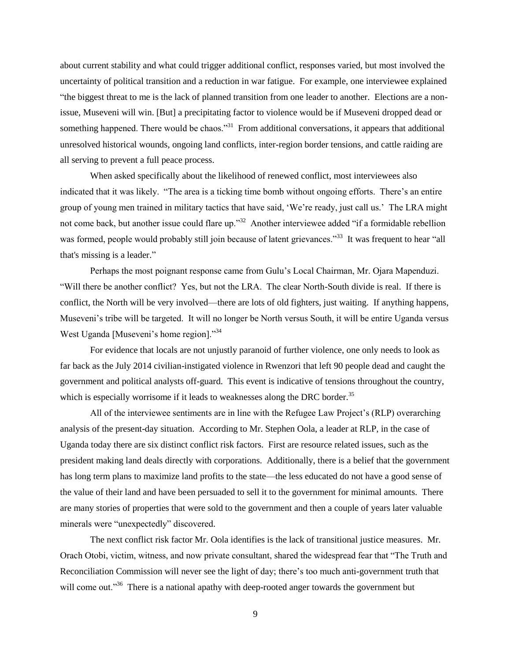about current stability and what could trigger additional conflict, responses varied, but most involved the uncertainty of political transition and a reduction in war fatigue. For example, one interviewee explained "the biggest threat to me is the lack of planned transition from one leader to another. Elections are a nonissue, Museveni will win. [But] a precipitating factor to violence would be if Museveni dropped dead or something happened. There would be chaos."<sup>31</sup> From additional conversations, it appears that additional unresolved historical wounds, ongoing land conflicts, inter-region border tensions, and cattle raiding are all serving to prevent a full peace process.

When asked specifically about the likelihood of renewed conflict, most interviewees also indicated that it was likely. "The area is a ticking time bomb without ongoing efforts. There's an entire group of young men trained in military tactics that have said, 'We're ready, just call us.' The LRA might not come back, but another issue could flare up."<sup>32</sup> Another interviewee added "if a formidable rebellion was formed, people would probably still join because of latent grievances."<sup>33</sup> It was frequent to hear "all that's missing is a leader."

Perhaps the most poignant response came from Gulu's Local Chairman, Mr. Ojara Mapenduzi. "Will there be another conflict? Yes, but not the LRA. The clear North-South divide is real. If there is conflict, the North will be very involved—there are lots of old fighters, just waiting. If anything happens, Museveni's tribe will be targeted. It will no longer be North versus South, it will be entire Uganda versus West Uganda [Museveni's home region]."<sup>34</sup>

For evidence that locals are not unjustly paranoid of further violence, one only needs to look as far back as the July 2014 civilian-instigated violence in Rwenzori that left 90 people dead and caught the government and political analysts off-guard. This event is indicative of tensions throughout the country, which is especially worrisome if it leads to weaknesses along the DRC border.<sup>35</sup>

All of the interviewee sentiments are in line with the Refugee Law Project's (RLP) overarching analysis of the present-day situation. According to Mr. Stephen Oola, a leader at RLP, in the case of Uganda today there are six distinct conflict risk factors. First are resource related issues, such as the president making land deals directly with corporations. Additionally, there is a belief that the government has long term plans to maximize land profits to the state—the less educated do not have a good sense of the value of their land and have been persuaded to sell it to the government for minimal amounts. There are many stories of properties that were sold to the government and then a couple of years later valuable minerals were "unexpectedly" discovered.

The next conflict risk factor Mr. Oola identifies is the lack of transitional justice measures. Mr. Orach Otobi, victim, witness, and now private consultant, shared the widespread fear that "The Truth and Reconciliation Commission will never see the light of day; there's too much anti-government truth that will come out."<sup>36</sup> There is a national apathy with deep-rooted anger towards the government but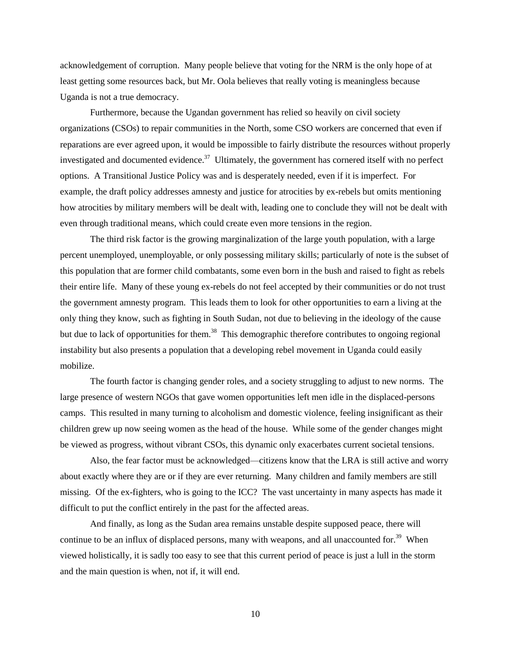acknowledgement of corruption. Many people believe that voting for the NRM is the only hope of at least getting some resources back, but Mr. Oola believes that really voting is meaningless because Uganda is not a true democracy.

Furthermore, because the Ugandan government has relied so heavily on civil society organizations (CSOs) to repair communities in the North, some CSO workers are concerned that even if reparations are ever agreed upon, it would be impossible to fairly distribute the resources without properly investigated and documented evidence.<sup>37</sup> Ultimately, the government has cornered itself with no perfect options. A Transitional Justice Policy was and is desperately needed, even if it is imperfect. For example, the draft policy addresses amnesty and justice for atrocities by ex-rebels but omits mentioning how atrocities by military members will be dealt with, leading one to conclude they will not be dealt with even through traditional means, which could create even more tensions in the region.

The third risk factor is the growing marginalization of the large youth population, with a large percent unemployed, unemployable, or only possessing military skills; particularly of note is the subset of this population that are former child combatants, some even born in the bush and raised to fight as rebels their entire life. Many of these young ex-rebels do not feel accepted by their communities or do not trust the government amnesty program. This leads them to look for other opportunities to earn a living at the only thing they know, such as fighting in South Sudan, not due to believing in the ideology of the cause but due to lack of opportunities for them.<sup>38</sup> This demographic therefore contributes to ongoing regional instability but also presents a population that a developing rebel movement in Uganda could easily mobilize.

The fourth factor is changing gender roles, and a society struggling to adjust to new norms. The large presence of western NGOs that gave women opportunities left men idle in the displaced-persons camps. This resulted in many turning to alcoholism and domestic violence, feeling insignificant as their children grew up now seeing women as the head of the house. While some of the gender changes might be viewed as progress, without vibrant CSOs, this dynamic only exacerbates current societal tensions.

Also, the fear factor must be acknowledged—citizens know that the LRA is still active and worry about exactly where they are or if they are ever returning. Many children and family members are still missing. Of the ex-fighters, who is going to the ICC? The vast uncertainty in many aspects has made it difficult to put the conflict entirely in the past for the affected areas.

And finally, as long as the Sudan area remains unstable despite supposed peace, there will continue to be an influx of displaced persons, many with weapons, and all unaccounted for.<sup>39</sup> When viewed holistically, it is sadly too easy to see that this current period of peace is just a lull in the storm and the main question is when, not if, it will end.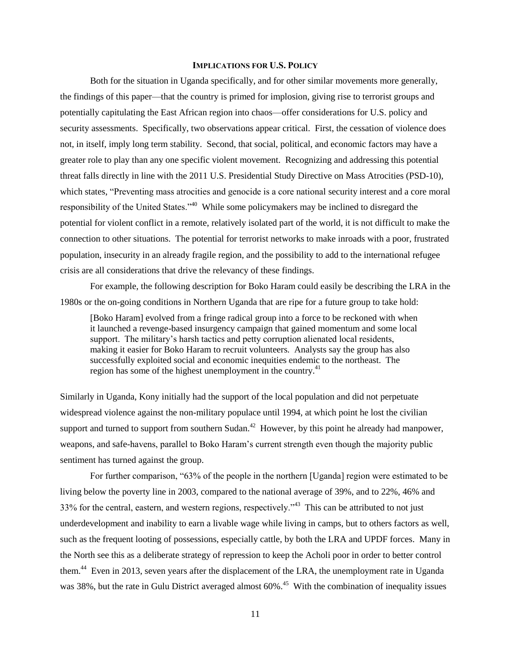#### **IMPLICATIONS FOR U.S. POLICY**

Both for the situation in Uganda specifically, and for other similar movements more generally, the findings of this paper—that the country is primed for implosion, giving rise to terrorist groups and potentially capitulating the East African region into chaos—offer considerations for U.S. policy and security assessments. Specifically, two observations appear critical. First, the cessation of violence does not, in itself, imply long term stability. Second, that social, political, and economic factors may have a greater role to play than any one specific violent movement. Recognizing and addressing this potential threat falls directly in line with the 2011 U.S. Presidential Study Directive on Mass Atrocities (PSD-10), which states, "Preventing mass atrocities and genocide is a core national security interest and a core moral responsibility of the United States."<sup>40</sup> While some policymakers may be inclined to disregard the potential for violent conflict in a remote, relatively isolated part of the world, it is not difficult to make the connection to other situations. The potential for terrorist networks to make inroads with a poor, frustrated population, insecurity in an already fragile region, and the possibility to add to the international refugee crisis are all considerations that drive the relevancy of these findings.

For example, the following description for Boko Haram could easily be describing the LRA in the 1980s or the on-going conditions in Northern Uganda that are ripe for a future group to take hold:

[Boko Haram] evolved from a fringe radical group into a force to be reckoned with when it launched a revenge-based insurgency campaign that gained momentum and some local support. The military's harsh tactics and petty corruption alienated local residents, making it easier for Boko Haram to recruit volunteers. Analysts say the group has also successfully exploited social and economic inequities endemic to the northeast. The region has some of the highest unemployment in the country.<sup>41</sup>

Similarly in Uganda, Kony initially had the support of the local population and did not perpetuate widespread violence against the non-military populace until 1994, at which point he lost the civilian support and turned to support from southern Sudan.<sup>42</sup> However, by this point he already had manpower, weapons, and safe-havens, parallel to Boko Haram's current strength even though the majority public sentiment has turned against the group.

For further comparison, "63% of the people in the northern [Uganda] region were estimated to be living below the poverty line in 2003, compared to the national average of 39%, and to 22%, 46% and 33% for the central, eastern, and western regions, respectively.<sup>43</sup> This can be attributed to not just underdevelopment and inability to earn a livable wage while living in camps, but to others factors as well, such as the frequent looting of possessions, especially cattle, by both the LRA and UPDF forces. Many in the North see this as a deliberate strategy of repression to keep the Acholi poor in order to better control them.<sup>44</sup> Even in 2013, seven years after the displacement of the LRA, the unemployment rate in Uganda was 38%, but the rate in Gulu District averaged almost 60%.<sup>45</sup> With the combination of inequality issues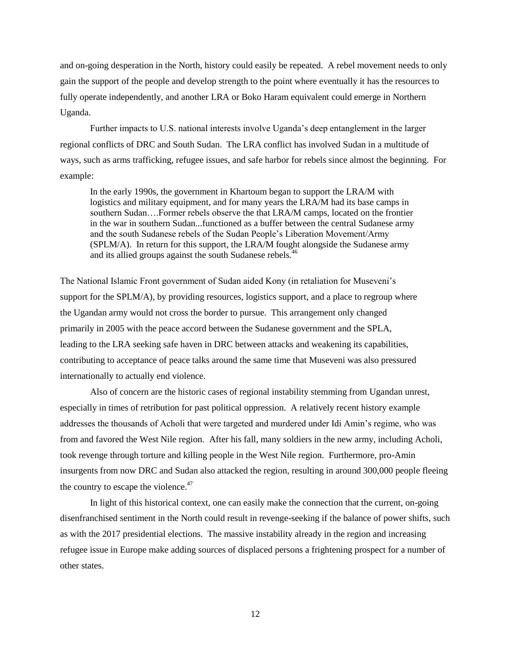and on-going desperation in the North, history could easily be repeated. A rebel movement needs to only gain the support of the people and develop strength to the point where eventually it has the resources to fully operate independently, and another LRA or Boko Haram equivalent could emerge in Northern Uganda.

Further impacts to U.S. national interests involve Uganda's deep entanglement in the larger regional conflicts of DRC and South Sudan. The LRA conflict has involved Sudan in a multitude of ways, such as arms trafficking, refugee issues, and safe harbor for rebels since almost the beginning. For example:

In the early 1990s, the government in Khartoum began to support the LRA/M with logistics and military equipment, and for many years the LRA/M had its base camps in southern Sudan….Former rebels observe the that LRA/M camps, located on the frontier in the war in southern Sudan...functioned as a buffer between the central Sudanese army and the south Sudanese rebels of the Sudan People's Liberation Movement/Army (SPLM/A). In return for this support, the LRA/M fought alongside the Sudanese army and its allied groups against the south Sudanese rebels.<sup>46</sup>

The National Islamic Front government of Sudan aided Kony (in retaliation for Museveni's support for the SPLM/A), by providing resources, logistics support, and a place to regroup where the Ugandan army would not cross the border to pursue. This arrangement only changed primarily in 2005 with the peace accord between the Sudanese government and the SPLA, leading to the LRA seeking safe haven in DRC between attacks and weakening its capabilities, contributing to acceptance of peace talks around the same time that Museveni was also pressured internationally to actually end violence.

Also of concern are the historic cases of regional instability stemming from Ugandan unrest, especially in times of retribution for past political oppression. A relatively recent history example addresses the thousands of Acholi that were targeted and murdered under Idi Amin's regime, who was from and favored the West Nile region. After his fall, many soldiers in the new army, including Acholi, took revenge through torture and killing people in the West Nile region. Furthermore, pro-Amin insurgents from now DRC and Sudan also attacked the region, resulting in around 300,000 people fleeing the country to escape the violence. $47$ 

In light of this historical context, one can easily make the connection that the current, on-going disenfranchised sentiment in the North could result in revenge-seeking if the balance of power shifts, such as with the 2017 presidential elections. The massive instability already in the region and increasing refugee issue in Europe make adding sources of displaced persons a frightening prospect for a number of other states.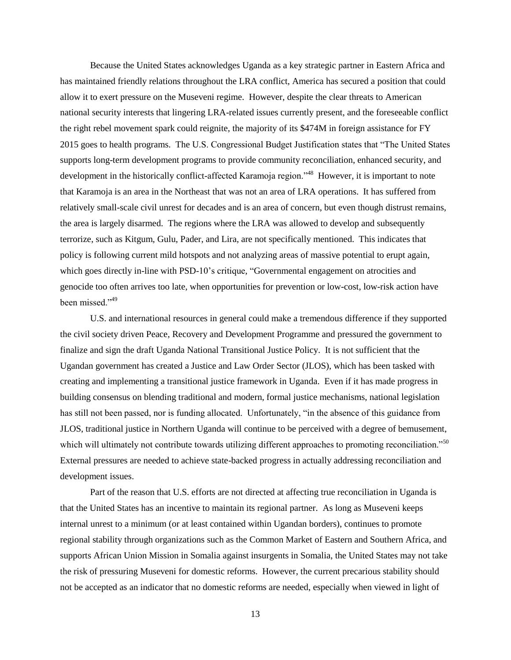Because the United States acknowledges Uganda as a key strategic partner in Eastern Africa and has maintained friendly relations throughout the LRA conflict, America has secured a position that could allow it to exert pressure on the Museveni regime. However, despite the clear threats to American national security interests that lingering LRA-related issues currently present, and the foreseeable conflict the right rebel movement spark could reignite, the majority of its \$474M in foreign assistance for FY 2015 goes to health programs. The U.S. Congressional Budget Justification states that "The United States supports long-term development programs to provide community reconciliation, enhanced security, and development in the historically conflict-affected Karamoja region."<sup>48</sup> However, it is important to note that Karamoja is an area in the Northeast that was not an area of LRA operations. It has suffered from relatively small-scale civil unrest for decades and is an area of concern, but even though distrust remains, the area is largely disarmed. The regions where the LRA was allowed to develop and subsequently terrorize, such as Kitgum, Gulu, Pader, and Lira, are not specifically mentioned. This indicates that policy is following current mild hotspots and not analyzing areas of massive potential to erupt again, which goes directly in-line with PSD-10's critique, "Governmental engagement on atrocities and genocide too often arrives too late, when opportunities for prevention or low-cost, low-risk action have been missed."<sup>49</sup>

U.S. and international resources in general could make a tremendous difference if they supported the civil society driven Peace, Recovery and Development Programme and pressured the government to finalize and sign the draft Uganda National Transitional Justice Policy. It is not sufficient that the Ugandan government has created a Justice and Law Order Sector (JLOS), which has been tasked with creating and implementing a transitional justice framework in Uganda. Even if it has made progress in building consensus on blending traditional and modern, formal justice mechanisms, national legislation has still not been passed, nor is funding allocated. Unfortunately, "in the absence of this guidance from JLOS, traditional justice in Northern Uganda will continue to be perceived with a degree of bemusement, which will ultimately not contribute towards utilizing different approaches to promoting reconciliation."<sup>50</sup> External pressures are needed to achieve state-backed progress in actually addressing reconciliation and development issues.

Part of the reason that U.S. efforts are not directed at affecting true reconciliation in Uganda is that the United States has an incentive to maintain its regional partner. As long as Museveni keeps internal unrest to a minimum (or at least contained within Ugandan borders), continues to promote regional stability through organizations such as the Common Market of Eastern and Southern Africa, and supports African Union Mission in Somalia against insurgents in Somalia, the United States may not take the risk of pressuring Museveni for domestic reforms. However, the current precarious stability should not be accepted as an indicator that no domestic reforms are needed, especially when viewed in light of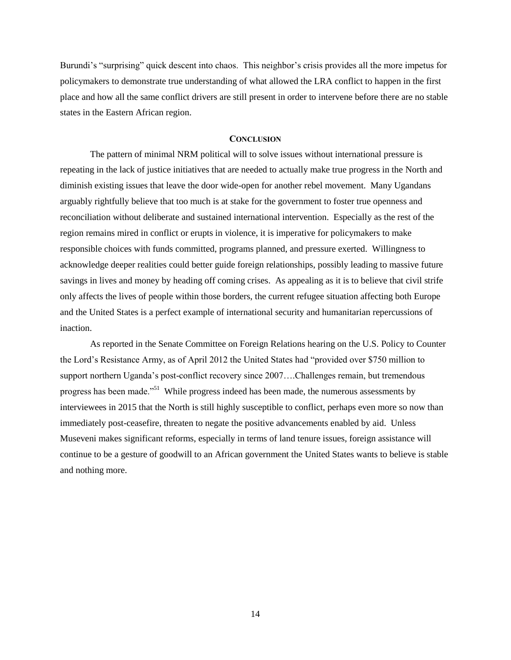Burundi's "surprising" quick descent into chaos. This neighbor's crisis provides all the more impetus for policymakers to demonstrate true understanding of what allowed the LRA conflict to happen in the first place and how all the same conflict drivers are still present in order to intervene before there are no stable states in the Eastern African region.

#### **CONCLUSION**

The pattern of minimal NRM political will to solve issues without international pressure is repeating in the lack of justice initiatives that are needed to actually make true progress in the North and diminish existing issues that leave the door wide-open for another rebel movement. Many Ugandans arguably rightfully believe that too much is at stake for the government to foster true openness and reconciliation without deliberate and sustained international intervention. Especially as the rest of the region remains mired in conflict or erupts in violence, it is imperative for policymakers to make responsible choices with funds committed, programs planned, and pressure exerted. Willingness to acknowledge deeper realities could better guide foreign relationships, possibly leading to massive future savings in lives and money by heading off coming crises. As appealing as it is to believe that civil strife only affects the lives of people within those borders, the current refugee situation affecting both Europe and the United States is a perfect example of international security and humanitarian repercussions of inaction.

As reported in the Senate Committee on Foreign Relations hearing on the U.S. Policy to Counter the Lord's Resistance Army, as of April 2012 the United States had "provided over \$750 million to support northern Uganda's post-conflict recovery since 2007….Challenges remain, but tremendous progress has been made."<sup>51</sup> While progress indeed has been made, the numerous assessments by interviewees in 2015 that the North is still highly susceptible to conflict, perhaps even more so now than immediately post-ceasefire, threaten to negate the positive advancements enabled by aid. Unless Museveni makes significant reforms, especially in terms of land tenure issues, foreign assistance will continue to be a gesture of goodwill to an African government the United States wants to believe is stable and nothing more.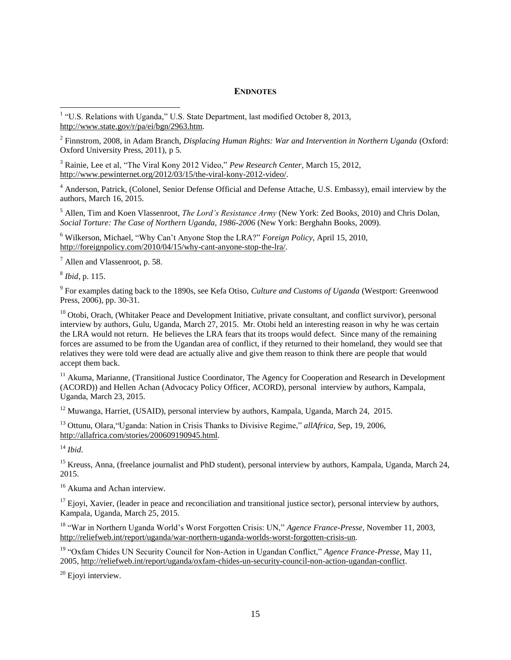## **ENDNOTES**

<sup>1</sup> "U.S. Relations with Uganda," U.S. State Department, last modified October 8, 2013, [http://www.state.gov/r/pa/ei/bgn/2963.htm.](http://www.state.gov/r/pa/ei/bgn/2963.htm)

2 Finnstrom, 2008, in Adam Branch, *Displacing Human Rights: War and Intervention in Northern Uganda* (Oxford: Oxford University Press, 2011), p 5.

<sup>3</sup> Rainie, Lee et al, "The Viral Kony 2012 Video," *Pew Research Center*, March 15, 2012, [http://www.pewinternet.org/2012/03/15/the-viral-kony-2012-video/.](http://www.pewinternet.org/2012/03/15/the-viral-kony-2012-video/)

<sup>4</sup> Anderson, Patrick, (Colonel, Senior Defense Official and Defense Attache, U.S. Embassy), email interview by the authors, March 16, 2015.

<sup>5</sup> Allen, Tim and Koen Vlassenroot, *The Lord's Resistance Army* (New York: Zed Books, 2010) and Chris Dolan, *Social Torture: The Case of Northern Uganda, 1986-2006* (New York: Berghahn Books, 2009).

<sup>6</sup> Wilkerson, Michael, "Why Can't Anyone Stop the LRA?" *Foreign Policy*, April 15, 2010, [http://foreignpolicy.com/2010/04/15/why-cant-anyone-stop-the-lra/.](http://foreignpolicy.com/2010/04/15/why-cant-anyone-stop-the-lra/)

<sup>7</sup> Allen and Vlassenroot, p. 58.

8 *Ibid*, p. 115.

9 For examples dating back to the 1890s, see Kefa Otiso, *Culture and Customs of Uganda* (Westport: Greenwood Press, 2006), pp. 30-31.

 $10$  Otobi, Orach, (Whitaker Peace and Development Initiative, private consultant, and conflict survivor), personal interview by authors, Gulu, Uganda, March 27, 2015. Mr. Otobi held an interesting reason in why he was certain the LRA would not return. He believes the LRA fears that its troops would defect. Since many of the remaining forces are assumed to be from the Ugandan area of conflict, if they returned to their homeland, they would see that relatives they were told were dead are actually alive and give them reason to think there are people that would accept them back.

<sup>11</sup> Akuma, Marianne, (Transitional Justice Coordinator, The Agency for Cooperation and Research in Development (ACORD)) and Hellen Achan (Advocacy Policy Officer, ACORD), personal interview by authors, Kampala, Uganda, March 23, 2015.

<sup>12</sup> Muwanga, Harriet, (USAID), personal interview by authors, Kampala, Uganda, March 24, 2015.

<sup>13</sup> Ottunu, Olara,"Uganda: Nation in Crisis Thanks to Divisive Regime," *allAfrica,* Sep, 19, 2006, [http://allafrica.com/stories/200609190945.html.](http://allafrica.com/stories/200609190945.html)

<sup>14</sup> *Ibid*.

<sup>15</sup> Kreuss, Anna, (freelance journalist and PhD student), personal interview by authors, Kampala, Uganda, March 24, 2015.

<sup>16</sup> Akuma and Achan interview.

 $17$  Ejoyi, Xavier, (leader in peace and reconciliation and transitional justice sector), personal interview by authors, Kampala, Uganda, March 25, 2015.

<sup>18</sup> "War in Northern Uganda World's Worst Forgotten Crisis: UN," *Agence France-Presse,* November 11, 2003, [http://reliefweb.int/report/uganda/war-northern-uganda-worlds-worst-forgotten-crisis-un.](http://reliefweb.int/report/uganda/war-northern-uganda-worlds-worst-forgotten-crisis-un)

<sup>19</sup> "Oxfam Chides UN Security Council for Non-Action in Ugandan Conflict," *Agence France-Presse,* May 11, 2005, [http://reliefweb.int/report/uganda/oxfam-chides-un-security-council-non-action-ugandan-conflict.](http://reliefweb.int/report/uganda/oxfam-chides-un-security-council-non-action-ugandan-conflict)

<sup>20</sup> Ejoyi interview.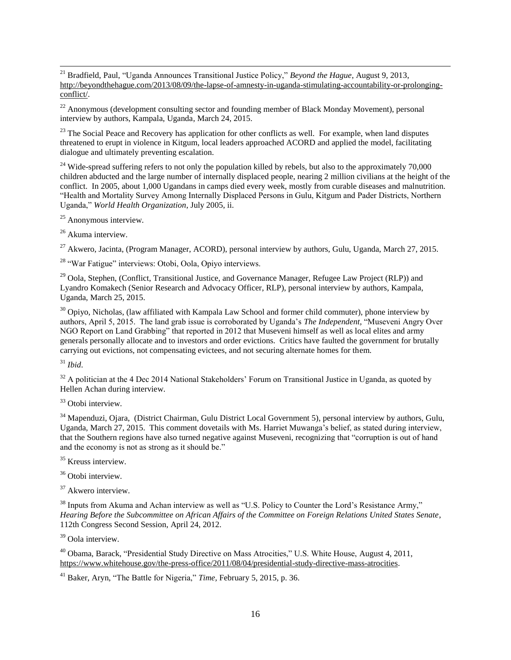<sup>21</sup> Bradfield, Paul, "Uganda Announces Transitional Justice Policy," *Beyond the Hague*, August 9, 2013, [http://beyondthehague.com/2013/08/09/the-lapse-of-amnesty-in-uganda-stimulating-accountability-or-prolonging](http://beyondthehague.com/2013/08/09/the-lapse-of-amnesty-in-uganda-stimulating-accountability-or-prolonging-conflict/)[conflict/.](http://beyondthehague.com/2013/08/09/the-lapse-of-amnesty-in-uganda-stimulating-accountability-or-prolonging-conflict/)

<sup>22</sup> Anonymous (development consulting sector and founding member of Black Monday Movement), personal interview by authors, Kampala, Uganda, March 24, 2015.

<sup>23</sup> The Social Peace and Recovery has application for other conflicts as well. For example, when land disputes threatened to erupt in violence in Kitgum, local leaders approached ACORD and applied the model, facilitating dialogue and ultimately preventing escalation.

<sup>24</sup> Wide-spread suffering refers to not only the population killed by rebels, but also to the approximately  $70,000$ children abducted and the large number of internally displaced people, nearing 2 million civilians at the height of the conflict. In 2005, about 1,000 Ugandans in camps died every week, mostly from curable diseases and malnutrition. "Health and Mortality Survey Among Internally Displaced Persons in Gulu, Kitgum and Pader Districts, Northern Uganda," *World Health Organization*, July 2005, ii.

<sup>25</sup> Anonymous interview.

<sup>26</sup> Akuma interview.

 $^{27}$  Akwero, Jacinta, (Program Manager, ACORD), personal interview by authors, Gulu, Uganda, March 27, 2015.

<sup>28</sup> "War Fatigue" interviews: Otobi, Oola, Opiyo interviews.

<sup>29</sup> Oola, Stephen, (Conflict, Transitional Justice, and Governance Manager, Refugee Law Project (RLP)) and Lyandro Komakech (Senior Research and Advocacy Officer, RLP), personal interview by authors, Kampala, Uganda, March 25, 2015.

<sup>30</sup> Opiyo, Nicholas, (law affiliated with Kampala Law School and former child commuter), phone interview by authors, April 5, 2015. The land grab issue is corroborated by Uganda's *The Independent,* "Museveni Angry Over NGO Report on Land Grabbing" that reported in 2012 that Museveni himself as well as local elites and army generals personally allocate and to investors and order evictions. Critics have faulted the government for brutally carrying out evictions, not compensating evictees, and not securing alternate homes for them.

<sup>31</sup> *Ibid*.

<sup>32</sup> A politician at the 4 Dec 2014 National Stakeholders' Forum on Transitional Justice in Uganda, as quoted by Hellen Achan during interview.

<sup>33</sup> Otobi interview.

<sup>34</sup> Mapenduzi, Ojara, (District Chairman, Gulu District Local Government 5), personal interview by authors, Gulu, Uganda, March 27, 2015. This comment dovetails with Ms. Harriet Muwanga's belief, as stated during interview, that the Southern regions have also turned negative against Museveni, recognizing that "corruption is out of hand and the economy is not as strong as it should be."

<sup>35</sup> Kreuss interview.

<sup>36</sup> Otobi interview.

<sup>37</sup> Akwero interview.

<sup>38</sup> Inputs from Akuma and Achan interview as well as "U.S. Policy to Counter the Lord's Resistance Army," *Hearing Before the Subcommittee on African Affairs of the Committee on Foreign Relations United States Senate*, 112th Congress Second Session, April 24, 2012.

<sup>39</sup> Oola interview.

<sup>40</sup> Obama, Barack, "Presidential Study Directive on Mass Atrocities," U.S. White House, August 4, 2011, [https://www.whitehouse.gov/the-press-office/2011/08/04/presidential-study-directive-mass-atrocities.](https://www.whitehouse.gov/the-press-office/2011/08/04/presidential-study-directive-mass-atrocities)

<sup>41</sup> Baker, Aryn, "The Battle for Nigeria," *Time,* February 5, 2015, p. 36.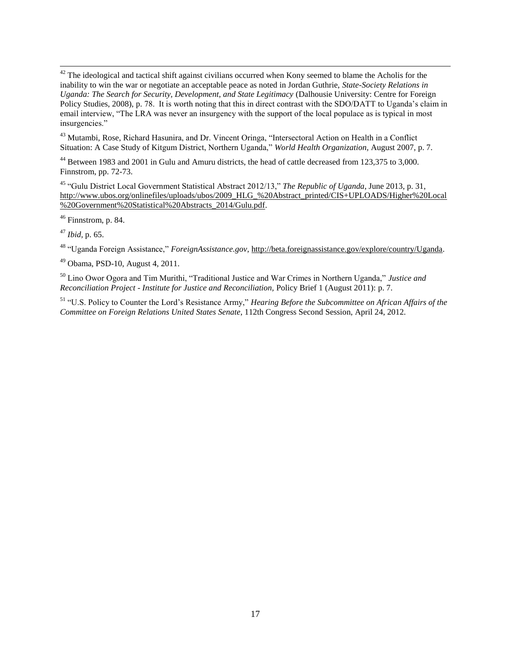$42$  The ideological and tactical shift against civilians occurred when Kony seemed to blame the Acholis for the inability to win the war or negotiate an acceptable peace as noted in Jordan Guthrie, *State-Society Relations in Uganda: The Search for Security, Development, and State Legitimacy* (Dalhousie University: Centre for Foreign Policy Studies, 2008), p. 78. It is worth noting that this in direct contrast with the SDO/DATT to Uganda's claim in email interview, "The LRA was never an insurgency with the support of the local populace as is typical in most insurgencies."

<sup>43</sup> Mutambi, Rose, Richard Hasunira, and Dr. Vincent Oringa, "Intersectoral Action on Health in a Conflict Situation: A Case Study of Kitgum District, Northern Uganda," *World Health Organization,* August 2007, p. 7.

<sup>44</sup> Between 1983 and 2001 in Gulu and Amuru districts, the head of cattle decreased from 123,375 to 3,000. Finnstrom, pp. 72-73.

<sup>45</sup> "Gulu District Local Government Statistical Abstract 2012/13," *The Republic of Uganda*, June 2013, p. 31, [http://www.ubos.org/onlinefiles/uploads/ubos/2009\\_HLG\\_%20Abstract\\_printed/CIS+UPLOADS/Higher%20Local](http://www.ubos.org/onlinefiles/uploads/ubos/2009_HLG_%20Abstract_printed/CIS+UPLOADS/Higher%20Local%20Government%20Statistical%20Abstracts_2014/Gulu.pdf) [%20Government%20Statistical%20Abstracts\\_2014/Gulu.pdf.](http://www.ubos.org/onlinefiles/uploads/ubos/2009_HLG_%20Abstract_printed/CIS+UPLOADS/Higher%20Local%20Government%20Statistical%20Abstracts_2014/Gulu.pdf)

 $46$  Finnstrom, p. 84.

<sup>47</sup> *Ibid,* p. 65.

<sup>48</sup> "Uganda Foreign Assistance," *ForeignAssistance.gov,* [http://beta.foreignassistance.gov/explore/country/Uganda.](http://beta.foreignassistance.gov/explore/country/Uganda)

<sup>49</sup> Obama, PSD-10, August 4, 2011.

<sup>50</sup> Lino Owor Ogora and Tim Murithi, "Traditional Justice and War Crimes in Northern Uganda," *Justice and Reconciliation Project - Institute for Justice and Reconciliation,* Policy Brief 1 (August 2011): p. 7.

<sup>51</sup> "U.S. Policy to Counter the Lord's Resistance Army," *Hearing Before the Subcommittee on African Affairs of the Committee on Foreign Relations United States Senate*, 112th Congress Second Session, April 24, 2012.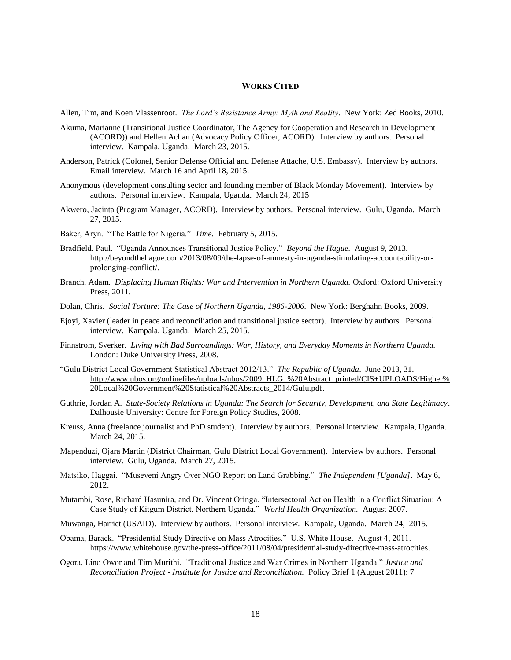#### **WORKS CITED**

Allen, Tim, and Koen Vlassenroot. *The Lord's Resistance Army: Myth and Reality*. New York: Zed Books, 2010.

- Akuma, Marianne (Transitional Justice Coordinator, The Agency for Cooperation and Research in Development (ACORD)) and Hellen Achan (Advocacy Policy Officer, ACORD). Interview by authors. Personal interview. Kampala, Uganda. March 23, 2015.
- Anderson, Patrick (Colonel, Senior Defense Official and Defense Attache, U.S. Embassy). Interview by authors. Email interview. March 16 and April 18, 2015.
- Anonymous (development consulting sector and founding member of Black Monday Movement). Interview by authors. Personal interview. Kampala, Uganda. March 24, 2015
- Akwero, Jacinta (Program Manager, ACORD). Interview by authors. Personal interview. Gulu, Uganda. March 27, 2015.
- Baker, Aryn. "The Battle for Nigeria." *Time.* February 5, 2015.

- Bradfield, Paul. "Uganda Announces Transitional Justice Policy." *Beyond the Hague.* August 9, 2013. [http://beyondthehague.com/2013/08/09/the-lapse-of-amnesty-in-uganda-stimulating-accountability-or](http://beyondthehague.com/2013/08/09/the-lapse-of-amnesty-in-uganda-stimulating-accountability-or-prolonging-conflict/)[prolonging-conflict/.](http://beyondthehague.com/2013/08/09/the-lapse-of-amnesty-in-uganda-stimulating-accountability-or-prolonging-conflict/)
- Branch, Adam. *Displacing Human Rights: War and Intervention in Northern Uganda.* Oxford: Oxford University Press, 2011.
- Dolan, Chris. *Social Torture: The Case of Northern Uganda, 1986-2006.* New York: Berghahn Books, 2009.
- Ejoyi, Xavier (leader in peace and reconciliation and transitional justice sector). Interview by authors. Personal interview. Kampala, Uganda. March 25, 2015.
- Finnstrom, Sverker. *Living with Bad Surroundings: War, History, and Everyday Moments in Northern Uganda.*  London: Duke University Press, 2008.
- "Gulu District Local Government Statistical Abstract 2012/13." *The Republic of Uganda*. June 2013, 31. [http://www.ubos.org/onlinefiles/uploads/ubos/2009\\_HLG\\_%20Abstract\\_printed/CIS+UPLOADS/Higher%](http://www.ubos.org/onlinefiles/uploads/ubos/2009_HLG_%20Abstract_printed/CIS+UPLOADS/Higher%20Local%20Government%20Statistical%20Abstracts_2014/Gulu.pdf) [20Local%20Government%20Statistical%20Abstracts\\_2014/Gulu.pdf.](http://www.ubos.org/onlinefiles/uploads/ubos/2009_HLG_%20Abstract_printed/CIS+UPLOADS/Higher%20Local%20Government%20Statistical%20Abstracts_2014/Gulu.pdf)
- Guthrie, Jordan A. *State-Society Relations in Uganda: The Search for Security, Development, and State Legitimacy*. Dalhousie University: Centre for Foreign Policy Studies, 2008.
- Kreuss, Anna (freelance journalist and PhD student). Interview by authors. Personal interview. Kampala, Uganda. March 24, 2015.
- Mapenduzi, Ojara Martin (District Chairman, Gulu District Local Government). Interview by authors. Personal interview. Gulu, Uganda. March 27, 2015.
- Matsiko, Haggai. "Museveni Angry Over NGO Report on Land Grabbing." *The Independent [Uganda]*. May 6, 2012.
- Mutambi, Rose, Richard Hasunira, and Dr. Vincent Oringa. "Intersectoral Action Health in a Conflict Situation: A Case Study of Kitgum District, Northern Uganda." *World Health Organization.* August 2007.
- Muwanga, Harriet (USAID). Interview by authors. Personal interview. Kampala, Uganda. March 24, 2015.
- Obama, Barack. "Presidential Study Directive on Mass Atrocities." U.S. White House. August 4, 2011. [https://www.whitehouse.gov/the-press-office/2011/08/04/presidential-study-directive-mass-atrocities.](https://www.whitehouse.gov/the-press-office/2011/08/04/presidential-study-directive-mass-atrocities)
- Ogora, Lino Owor and Tim Murithi. "Traditional Justice and War Crimes in Northern Uganda." *Justice and Reconciliation Project - Institute for Justice and Reconciliation.* Policy Brief 1 (August 2011): 7